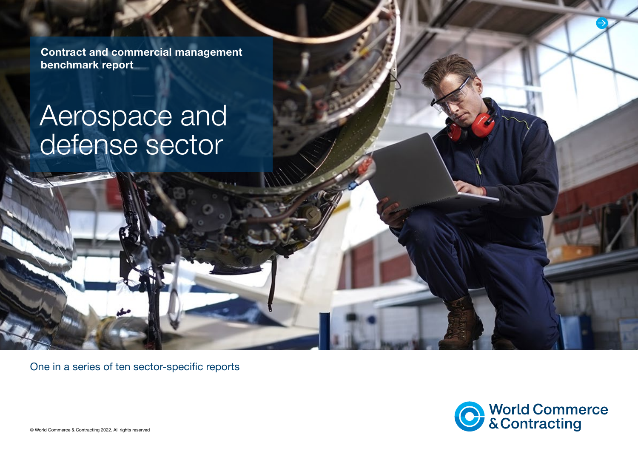Contract and commercial management benchmark report

# Aerospace and defense sector

One in a series of ten sector-specific reports



1

© World Commerce & Contracting 2022. All rights reserved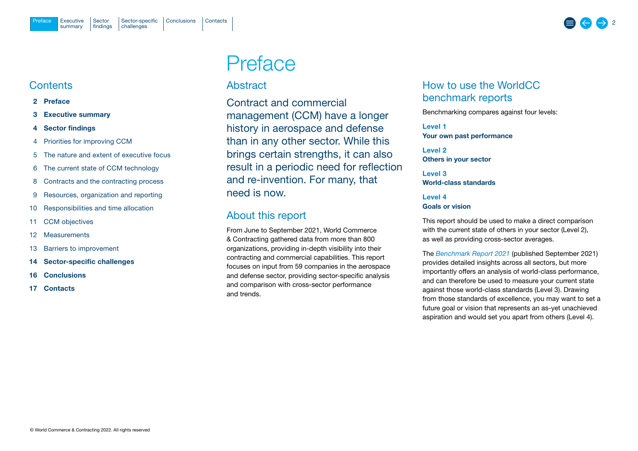### <span id="page-1-0"></span>**Contents**

#### 2 Preface

- 3 [Executive summary](#page-2-0)
- 4 [Sector findings](#page-3-0)
- 4 [Priorities for improving CCM](#page-3-0)
- 5 [The nature and extent of executive focus](#page-4-0)
- 6 [The current state of CCM technology](#page-5-0)
- 8 [Contracts and the contracting process](#page-7-0)
- 9 [Resources, organization and reporting](#page-8-0)
- 10 [Responsibilities and time allocation](#page-9-0)
- 11 [CCM objectives](#page-10-0)
- 12 [Measurements](#page-11-0)
- 13 [Barriers to improvement](#page-12-0)
- 14 [Sector-specific challenges](#page-13-0)
- 16 [Conclusions](#page-15-0)
- 17 [Contacts](#page-16-0)

## Preface

### Abstract

Contract and commercial management (CCM) have a longer history in aerospace and defense than in any other sector. While this brings certain strengths, it can also result in a periodic need for reflection and re-invention. For many, that need is now.

## About this report

From June to September 2021, World Commerce & Contracting gathered data from more than 800 organizations, providing in-depth visibility into their contracting and commercial capabilities. This report focuses on input from 59 companies in the aerospace and defense sector, providing sector-specific analysis and comparison with cross-sector performance and trends.

## How to use the WorldCC benchmark reports

Benchmarking compares against four levels:

Level 1 Your own past performance

Level 2 Others in your sector

Level 3 World-class standards

Level 4 Goals or vision

This report should be used to make a direct comparison with the current state of others in your sector (Level 2), as well as providing cross-sector averages.

The *[Benchmark Report](https://www.worldcc.com/Portals/IACCM/Resources/WorldCC-Benchmark-report-2021.pdf?ver=NPQMEljK4Q-meXZLABtd2w%3d%3d) 2021* (published September 2021) provides detailed insights across all sectors, but more importantly offers an analysis of world-class performance, and can therefore be used to measure your current state against those world-class standards (Level 3). Drawing from those standards of excellence, you may want to set a future goal or vision that represents an as-yet unachieved aspiration and would set you apart from others (Level 4).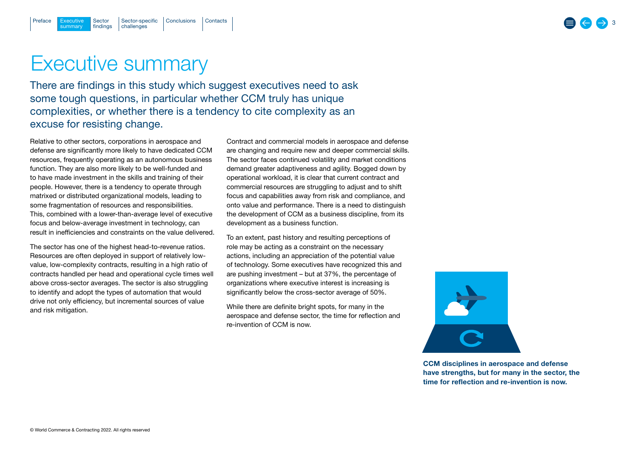## <span id="page-2-0"></span>Executive summary

There are findings in this study which suggest executives need to ask some tough questions, in particular whether CCM truly has unique complexities, or whether there is a tendency to cite complexity as an excuse for resisting change.

Relative to other sectors, corporations in aerospace and defense are significantly more likely to have dedicated CCM resources, frequently operating as an autonomous business function. They are also more likely to be well-funded and to have made investment in the skills and training of their people. However, there is a tendency to operate through matrixed or distributed organizational models, leading to some fragmentation of resources and responsibilities. This, combined with a lower-than-average level of executive focus and below-average investment in technology, can result in inefficiencies and constraints on the value delivered.

The sector has one of the highest head-to-revenue ratios. Resources are often deployed in support of relatively lowvalue, low-complexity contracts, resulting in a high ratio of contracts handled per head and operational cycle times well above cross-sector averages. The sector is also struggling to identify and adopt the types of automation that would drive not only efficiency, but incremental sources of value and risk mitigation.

Contract and commercial models in aerospace and defense are changing and require new and deeper commercial skills. The sector faces continued volatility and market conditions demand greater adaptiveness and agility. Bogged down by operational workload, it is clear that current contract and commercial resources are struggling to adjust and to shift focus and capabilities away from risk and compliance, and onto value and performance. There is a need to distinguish the development of CCM as a business discipline, from its development as a business function.

To an extent, past history and resulting perceptions of role may be acting as a constraint on the necessary actions, including an appreciation of the potential value of technology. Some executives have recognized this and are pushing investment – but at 37%, the percentage of organizations where executive interest is increasing is significantly below the cross-sector average of 50%.

While there are definite bright spots, for many in the aerospace and defense sector, the time for reflection and re-invention of CCM is now.



CCM disciplines in aerospace and defense have strengths, but for many in the sector, the time for reflection and re-invention is now.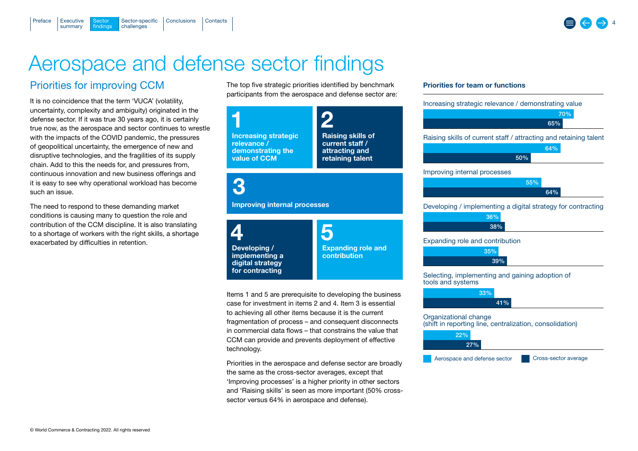## Aerospace and defense sector findings

[Sector-specific](#page-13-0) [Conclusions](#page-15-0) [Contacts](#page-16-0)

## Priorities for improving CCM

Sector **findings** 

**Executive** summary

<span id="page-3-0"></span>[Preface](#page-1-0)

It is no coincidence that the term 'VUCA' (volatility, uncertainty, complexity and ambiguity) originated in the defense sector. If it was true 30 years ago, it is certainly true now, as the aerospace and sector continues to wrestle with the impacts of the COVID pandemic, the pressures of geopolitical uncertainty, the emergence of new and disruptive technologies, and the fragilities of its supply chain. Add to this the needs for, and pressures from, continuous innovation and new business offerings and it is easy to see why operational workload has become such an issue.

challenges

The need to respond to these demanding market conditions is causing many to question the role and contribution of the CCM discipline. It is also translating to a shortage of workers with the right skills, a shortage exacerbated by difficulties in retention.

The top five strategic priorities identified by benchmark participants from the aerospace and defense sector are:



case for investment in items 2 and 4. Item 3 is essential to achieving all other items because it is the current fragmentation of process – and consequent disconnects in commercial data flows – that constrains the value that CCM can provide and prevents deployment of effective technology.

Priorities in the aerospace and defense sector are broadly the same as the cross-sector averages, except that 'Improving processes' is a higher priority in other sectors and 'Raising skills' is seen as more important (50% crosssector versus 64% in aerospace and defense).

#### Priorities for team or functions

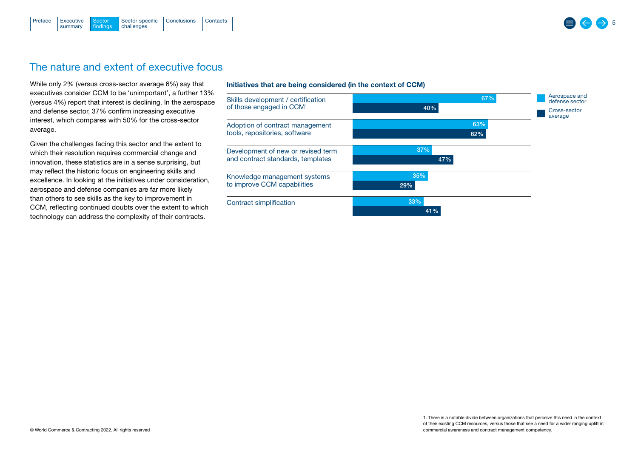<span id="page-4-0"></span>

## The nature and extent of executive focus

While only 2% (versus cross-sector average 6%) say that executives consider CCM to be 'unimportant', a further 13% (versus 4%) report that interest is declining. In the aerospace and defense sector, 37% confirm increasing executive interest, which compares with 50% for the cross-sector average.

Given the challenges facing this sector and the extent to which their resolution requires commercial change and innovation, these statistics are in a sense surprising, but may reflect the historic focus on engineering skills and excellence. In looking at the initiatives under consideration, aerospace and defense companies are far more likely than others to see skills as the key to improvement in CCM, reflecting continued doubts over the extent to which technology can address the complexity of their contracts.

#### Initiatives that are being considered (in the context of CCM)



5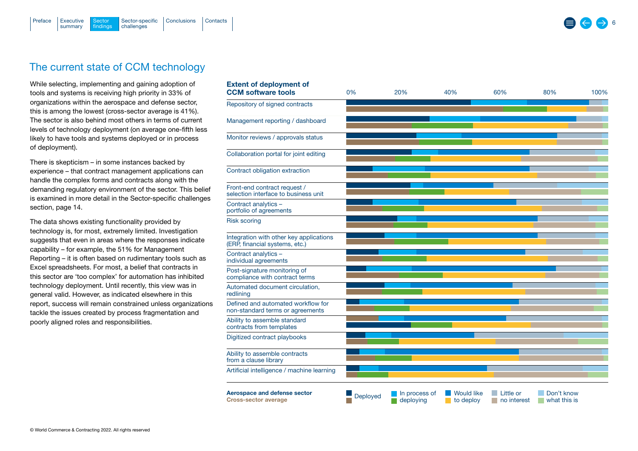challenges

[Sector-specific](#page-13-0) [Conclusions](#page-15-0) [Contacts](#page-16-0)

Extent of deployment of

## The current state of CCM technology

**Sector** [findings](#page-3-0)

**Executive** summary

<span id="page-5-0"></span>[Preface](#page-1-0)

While selecting, implementing and gaining adoption of tools and systems is receiving high priority in 33% of organizations within the aerospace and defense sector, this is among the lowest (cross-sector average is 41%). The sector is also behind most others in terms of current levels of technology deployment (on average one-fifth less likely to have tools and systems deployed or in process of deployment).

There is skepticism – in some instances backed by experience – that contract management applications can handle the complex forms and contracts along with the demanding regulatory environment of the sector. This belief is examined in more detail in the [Sector-specific challenges](#page-13-0)  [section, page 14.](#page-13-0)

The data shows existing functionality provided by technology is, for most, extremely limited. Investigation suggests that even in areas where the responses indicate capability – for example, the 51% for Management Reporting – it is often based on rudimentary tools such as Excel spreadsheets. For most, a belief that contracts in this sector are 'too complex' for automation has inhibited technology deployment. Until recently, this view was in general valid. However, as indicated elsewhere in this report, success will remain constrained unless organizations tackle the issues created by process fragmentation and poorly aligned roles and responsibilities.

| <b>CCM software tools</b>                                                 | 0%              | 20%                        | 40%                            | 60%                      | 80%                        | 100% |
|---------------------------------------------------------------------------|-----------------|----------------------------|--------------------------------|--------------------------|----------------------------|------|
| Repository of signed contracts                                            |                 |                            |                                |                          |                            |      |
| Management reporting / dashboard                                          |                 |                            |                                |                          |                            |      |
| Monitor reviews / approvals status                                        |                 |                            |                                |                          |                            |      |
| Collaboration portal for joint editing                                    |                 |                            |                                |                          |                            |      |
| Contract obligation extraction                                            |                 |                            |                                |                          |                            |      |
| Front-end contract request /<br>selection interface to business unit      |                 |                            |                                |                          |                            |      |
| Contract analytics -<br>portfolio of agreements                           |                 |                            |                                |                          |                            |      |
| <b>Risk scoring</b>                                                       |                 |                            |                                |                          |                            |      |
| Integration with other key applications<br>(ERP, financial systems, etc.) |                 |                            |                                |                          |                            |      |
| Contract analytics -<br>individual agreements                             |                 |                            |                                |                          |                            |      |
| Post-signature monitoring of<br>compliance with contract terms            |                 |                            |                                |                          |                            |      |
| Automated document circulation,<br>redlining                              |                 |                            |                                |                          |                            |      |
| Defined and automated workflow for<br>non-standard terms or agreements    |                 |                            |                                |                          |                            |      |
| Ability to assemble standard<br>contracts from templates                  |                 |                            |                                |                          |                            |      |
| Digitized contract playbooks                                              |                 |                            |                                |                          |                            |      |
| Ability to assemble contracts<br>from a clause library                    |                 |                            |                                |                          |                            |      |
| Artificial intelligence / machine learning                                |                 |                            |                                |                          |                            |      |
| Aerospace and defense sector<br><b>Cross-sector average</b>               | <b>Deployed</b> | In process of<br>deploving | <b>Would like</b><br>to deploy | Little or<br>no interest | Don't know<br>what this is |      |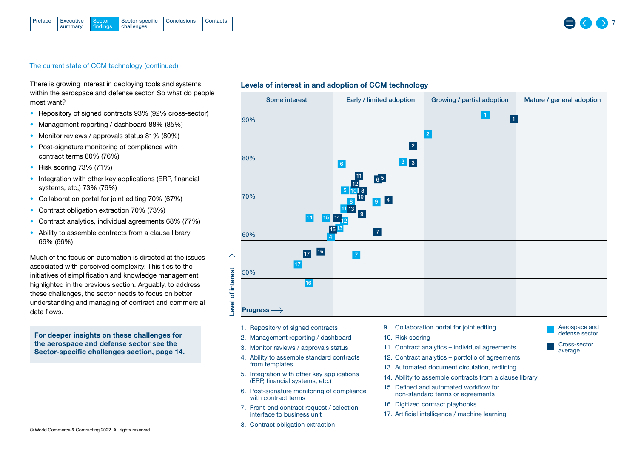### The current state of CCM technology (continued)

There is growing interest in deploying tools and systems within the aerospace and defense sector. So what do people most want?

- Repository of signed contracts 93% (92% cross-sector)
- Management reporting / dashboard 88% (85%)
- Monitor reviews / approvals status 81% (80%)
- Post-signature monitoring of compliance with contract terms 80% (76%)
- Risk scoring 73% (71%)
- Integration with other key applications (ERP, financial systems, etc,) 73% (76%)
- Collaboration portal for joint editing 70% (67%)
- Contract obligation extraction 70% (73%)
- Contract analytics, individual agreements 68% (77%)
- Ability to assemble contracts from a clause library 66% (66%)

Much of the focus on automation is directed at the issues associated with perceived complexity. This ties to the initiatives of simplification and knowledge management highlighted in the previous section. Arguably, to address these challenges, the sector needs to focus on better understanding and managing of contract and commercial data flows.

For deeper insights on these challenges for the aerospace and defense sector see the [Sector-specific challenges section, page 14.](#page-13-0)

#### Levels of interest in and adoption of CCM technology



- 1. Repository of signed contracts
- 2. Management reporting / dashboard
- 3. Monitor reviews / approvals status
- 4. Ability to assemble standard contracts from templates
- 5. Integration with other key applications  $(ER\widetilde{P},$  financial systems, etc.)
- 6. Post-signature monitoring of compliance with contract terms
- 7. Front-end contract request / selection interface to business unit
- 8. Contract obligation extraction
- 9. Collaboration portal for joint editing
- 10. Risk scoring
- 11. Contract analytics individual agreements
- 12. Contract analytics portfolio of agreements
- 13. Automated document circulation, redlining
- 14. Ability to assemble contracts from a clause library
- 15. Defined and automated workflow for non-standard terms or agreements
- 16. Digitized contract playbooks
- 17. Artificial intelligence / machine learning



Aerospace and defense sector Cross-sector average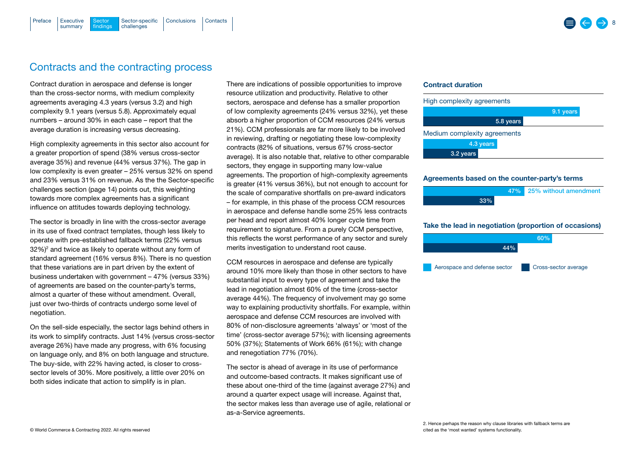## <span id="page-7-0"></span>Contracts and the contracting process

Contract duration in aerospace and defense is longer than the cross-sector norms, with medium complexity agreements averaging 4.3 years (versus 3.2) and high complexity 9.1 years (versus 5.8). Approximately equal numbers – around 30% in each case – report that the average duration is increasing versus decreasing.

High complexity agreements in this sector also account for a greater proportion of spend (38% versus cross-sector average 35%) and revenue (44% versus 37%). The gap in low complexity is even greater – 25% versus 32% on spend and 23% versus 31% on revenue. As the the [Sector-specific](#page-13-0)  [challenges section \(page 14\)](#page-13-0) points out, this weighting towards more complex agreements has a significant influence on attitudes towards deploying technology.

The sector is broadly in line with the cross-sector average in its use of fixed contract templates, though less likely to operate with pre-established fallback terms (22% versus  $32\%)^2$  and twice as likely to operate without any form of standard agreement (16% versus 8%). There is no question that these variations are in part driven by the extent of business undertaken with government – 47% (versus 33%) of agreements are based on the counter-party's terms, almost a quarter of these without amendment. Overall, just over two-thirds of contracts undergo some level of negotiation.

On the sell-side especially, the sector lags behind others in its work to simplify contracts. Just 14% (versus cross-sector average 26%) have made any progress, with 6% focusing on language only, and 8% on both language and structure. The buy-side, with 22% having acted, is closer to crosssector levels of 30%. More positively, a little over 20% on both sides indicate that action to simplify is in plan.

There are indications of possible opportunities to improve resource utilization and productivity. Relative to other sectors, aerospace and defense has a smaller proportion of low complexity agreements (24% versus 32%), yet these absorb a higher proportion of CCM resources (24% versus 21%). CCM professionals are far more likely to be involved in reviewing, drafting or negotiating these low-complexity contracts (82% of situations, versus 67% cross-sector average). It is also notable that, relative to other comparable sectors, they engage in supporting many low-value agreements. The proportion of high-complexity agreements is greater (41% versus 36%), but not enough to account for the scale of comparative shortfalls on pre-award indicators – for example, in this phase of the process CCM resources in aerospace and defense handle some 25% less contracts per head and report almost 40% longer cycle time from requirement to signature. From a purely CCM perspective, this reflects the worst performance of any sector and surely merits investigation to understand root cause.

CCM resources in aerospace and defense are typically around 10% more likely than those in other sectors to have substantial input to every type of agreement and take the lead in negotiation almost 60% of the time (cross-sector average 44%). The frequency of involvement may go some way to explaining productivity shortfalls. For example, within aerospace and defense CCM resources are involved with 80% of non-disclosure agreements 'always' or 'most of the time' (cross-sector average 57%); with licensing agreements 50% (37%); Statements of Work 66% (61%); with change and renegotiation 77% (70%).

The sector is ahead of average in its use of performance and outcome-based contracts. It makes significant use of these about one-third of the time (against average 27%) and around a quarter expect usage will increase. Against that, the sector makes less than average use of agile, relational or as-a-Service agreements.

#### Contract duration



#### Agreements based on the counter-party's terms



#### Take the lead in negotiation (proportion of occasions)

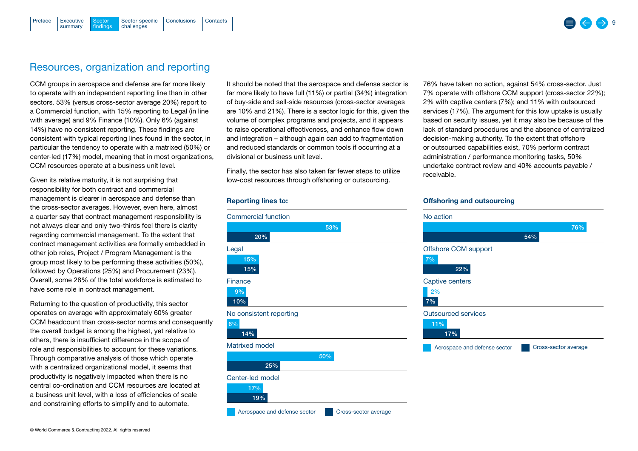### <span id="page-8-0"></span>Resources, organization and reporting

CCM groups in aerospace and defense are far more likely to operate with an independent reporting line than in other sectors. 53% (versus cross-sector average 20%) report to a Commercial function, with 15% reporting to Legal (in line with average) and 9% Finance (10%). Only 6% (against 14%) have no consistent reporting. These findings are consistent with typical reporting lines found in the sector, in particular the tendency to operate with a matrixed (50%) or center-led (17%) model, meaning that in most organizations, CCM resources operate at a business unit level.

Given its relative maturity, it is not surprising that responsibility for both contract and commercial management is clearer in aerospace and defense than the cross-sector averages. However, even here, almost a quarter say that contract management responsibility is not always clear and only two-thirds feel there is clarity regarding commercial management. To the extent that contract management activities are formally embedded in other job roles, Project / Program Management is the group most likely to be performing these activities (50%), followed by Operations (25%) and Procurement (23%). Overall, some 28% of the total workforce is estimated to have some role in contract management.

Returning to the question of productivity, this sector operates on average with approximately 60% greater CCM headcount than cross-sector norms and consequently the overall budget is among the highest, yet relative to others, there is insufficient difference in the scope of role and responsibilities to account for these variations. Through comparative analysis of those which operate with a centralized organizational model, it seems that productivity is negatively impacted when there is no central co-ordination and CCM resources are located at a business unit level, with a loss of efficiencies of scale and constraining efforts to simplify and to automate.

It should be noted that the aerospace and defense sector is far more likely to have full (11%) or partial (34%) integration of buy-side and sell-side resources (cross-sector averages are 10% and 21%). There is a sector logic for this, given the volume of complex programs and projects, and it appears to raise operational effectiveness, and enhance flow down and integration – although again can add to fragmentation and reduced standards or common tools if occurring at a divisional or business unit level.

Finally, the sector has also taken far fewer steps to utilize low-cost resources through offshoring or outsourcing.

#### Reporting lines to:



76% have taken no action, against 54% cross-sector. Just 7% operate with offshore CCM support (cross-sector 22%); 2% with captive centers (7%); and 11% with outsourced services (17%). The argument for this low uptake is usually based on security issues, yet it may also be because of the lack of standard procedures and the absence of centralized decision-making authority. To the extent that offshore or outsourced capabilities exist, 70% perform contract administration / performance monitoring tasks, 50% undertake contract review and 40% accounts payable / receivable.

#### Offshoring and outsourcing

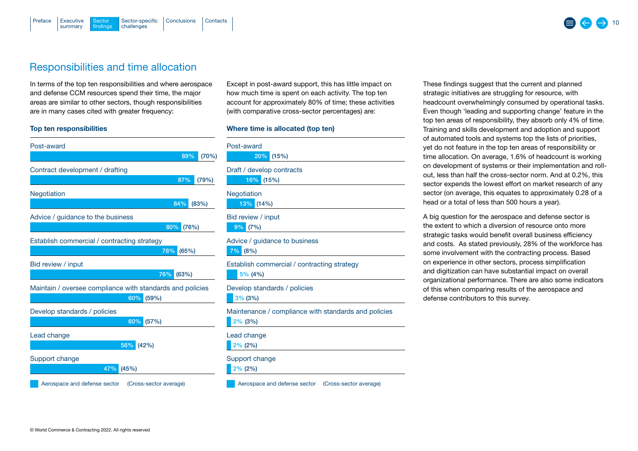## <span id="page-9-0"></span>Responsibilities and time allocation

In terms of the top ten responsibilities and where aerospace and defense CCM resources spend their time, the major areas are similar to other sectors, though responsibilities are in many cases cited with greater frequency:

#### Top ten responsibilities

| Post-award                                                       |       |       |
|------------------------------------------------------------------|-------|-------|
|                                                                  | 89%   | (70%  |
| Contract development / drafting                                  |       |       |
|                                                                  | 87%   | (79%) |
| Negotiation                                                      |       |       |
| 84%                                                              |       | (83%) |
| Advice / guidance to the business                                |       |       |
| 80%                                                              | (76%) |       |
| Establish commercial / contracting strategy                      |       |       |
| 78%                                                              | (65%) |       |
| Bid review / input                                               |       |       |
| 76%                                                              | (63%) |       |
| Maintain / oversee compliance with standards and policies<br>60% |       |       |
| (59%)                                                            |       |       |
| Develop standards / policies<br>60%<br>(57%)                     |       |       |
|                                                                  |       |       |
| Lead change                                                      |       |       |
| 56%<br>(42%)                                                     |       |       |
| Support change                                                   |       |       |
| 47%<br>(45%)                                                     |       |       |
| (Cross-sector average)<br>Aerospace and defense sector           |       |       |

Except in post-award support, this has little impact on how much time is spent on each activity. The top ten account for approximately 80% of time; these activities (with comparative cross-sector percentages) are:

#### Where time is allocated (top ten)

| Post-award<br>20%<br>(15%)                                         |
|--------------------------------------------------------------------|
| Draft / develop contracts<br>16%<br>(15%)                          |
| Negotiation<br>13%<br>(14%)                                        |
| Bid review / input<br>9%<br>(7%)                                   |
| Advice / guidance to business<br>7%<br>(8%)                        |
| Establish commercial / contracting strategy<br>5% (4%)             |
| Develop standards / policies<br>3% (3%)                            |
| Maintenance / compliance with standards and policies<br>$2\%$ (3%) |
| Lead change<br>$2\%$ (2%)                                          |
| Support change<br>$2\%$ (2%)                                       |
| (Cross-sector average)<br>Aerospace and defense sector             |

These findings suggest that the current and planned strategic initiatives are struggling for resource, with headcount overwhelmingly consumed by operational tasks. Even though 'leading and supporting change' feature in the top ten areas of responsibility, they absorb only 4% of time. Training and skills development and adoption and support of automated tools and systems top the lists of priorities, yet do not feature in the top ten areas of responsibility or time allocation. On average, 1.6% of headcount is working on development of systems or their implementation and rollout, less than half the cross-sector norm. And at 0.2%, this sector expends the lowest effort on market research of any sector (on average, this equates to approximately 0.28 of a head or a total of less than 500 hours a year).

A big question for the aerospace and defense sector is the extent to which a diversion of resource onto more strategic tasks would benefit overall business efficiency and costs. As stated previously, 28% of the workforce has some involvement with the contracting process. Based on experience in other sectors, process simplification and digitization can have substantial impact on overall organizational performance. There are also some indicators of this when comparing results of the aerospace and defense contributors to this survey.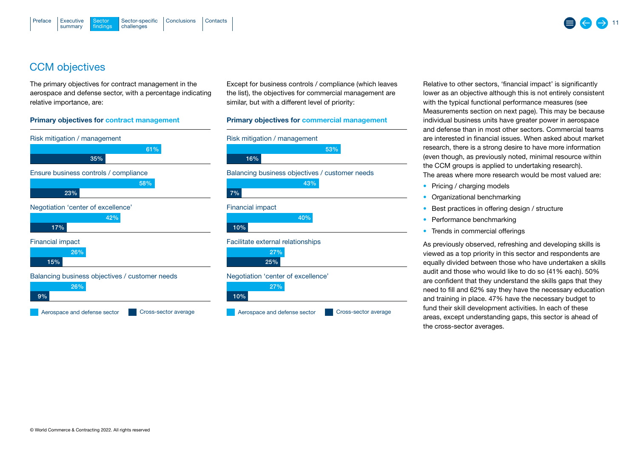## <span id="page-10-0"></span>CCM objectives

The primary objectives for contract management in the aerospace and defense sector, with a percentage indicating relative importance, are:

#### Primary objectives for contract management



Except for business controls / compliance (which leaves the list), the objectives for commercial management are similar, but with a different level of priority:

#### Primary objectives for commercial management



Relative to other sectors, 'financial impact' is significantly lower as an objective although this is not entirely consistent with the typical functional performance measures [\(see](#page-11-0)  [Measurements section on next page\)](#page-11-0). This may be because individual business units have greater power in aerospace and defense than in most other sectors. Commercial teams are interested in financial issues. When asked about market research, there is a strong desire to have more information (even though, as previously noted, minimal resource within the CCM groups is applied to undertaking research). The areas where more research would be most valued are:

- Pricing / charging models
- Organizational benchmarking
- Best practices in offering design / structure
- Performance benchmarking
- Trends in commercial offerings

As previously observed, refreshing and developing skills is viewed as a top priority in this sector and respondents are equally divided between those who have undertaken a skills audit and those who would like to do so (41% each). 50% are confident that they understand the skills gaps that they need to fill and 62% say they have the necessary education and training in place. 47% have the necessary budget to fund their skill development activities. In each of these areas, except understanding gaps, this sector is ahead of the cross-sector averages.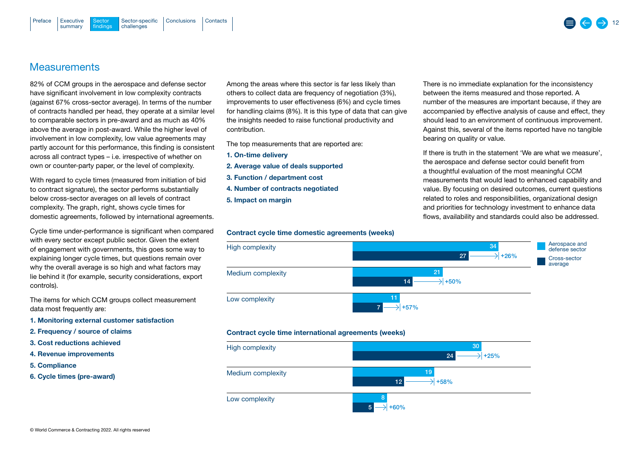### <span id="page-11-0"></span>**Measurements**

82% of CCM groups in the aerospace and defense sector have significant involvement in low complexity contracts (against 67% cross-sector average). In terms of the number of contracts handled per head, they operate at a similar level to comparable sectors in pre-award and as much as 40% above the average in post-award. While the higher level of involvement in low complexity, low value agreements may partly account for this performance, this finding is consistent across all contract types – i.e. irrespective of whether on own or counter-party paper, or the level of complexity.

With regard to cycle times (measured from initiation of bid to contract signature), the sector performs substantially below cross-sector averages on all levels of contract complexity. The graph, right, shows cycle times for domestic agreements, followed by international agreements.

Cycle time under-performance is significant when compared with every sector except public sector. Given the extent of engagement with governments, this goes some way to explaining longer cycle times, but questions remain over why the overall average is so high and what factors may lie behind it (for example, security considerations, export controls).

The items for which CCM groups collect measurement data most frequently are:

- 1. Monitoring external customer satisfaction
- 2. Frequency / source of claims
- 3. Cost reductions achieved
- 4. Revenue improvements
- 5. Compliance
- 6. Cycle times (pre-award)

Among the areas where this sector is far less likely than others to collect data are frequency of negotiation (3%), improvements to user effectiveness (6%) and cycle times for handling claims (8%). It is this type of data that can give the insights needed to raise functional productivity and contribution.

The top measurements that are reported are:

- 1. On-time delivery
- 2. Average value of deals supported
- 3. Function / department cost
- 4. Number of contracts negotiated
- 5. Impact on margin

Contract cycle time domestic agreements (weeks)



If there is truth in the statement 'We are what we measure', the aerospace and defense sector could benefit from a thoughtful evaluation of the most meaningful CCM measurements that would lead to enhanced capability and value. By focusing on desired outcomes, current questions related to roles and responsibilities, organizational design and priorities for technology investment to enhance data flows, availability and standards could also be addressed.





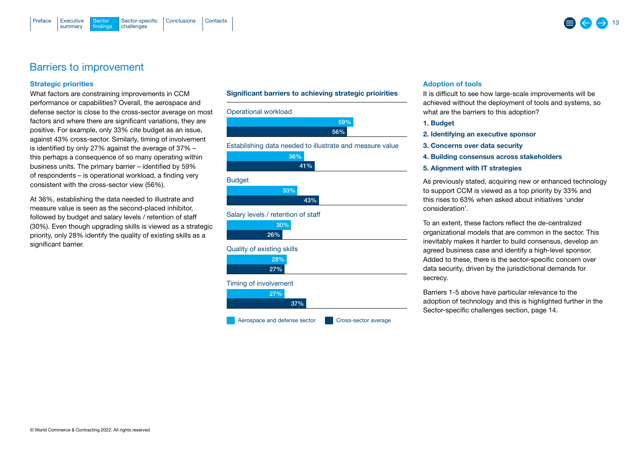### <span id="page-12-0"></span>Barriers to improvement

#### Strategic priorities

What factors are constraining improvements in CCM performance or capabilities? Overall, the aerospace and defense sector is close to the cross-sector average on most factors and where there are significant variations, they are positive. For example, only 33% cite budget as an issue, against 43% cross-sector. Similarly, timing of involvement is identified by only 27% against the average of 37% – this perhaps a consequence of so many operating within business units. The primary barrier – identified by 59% of respondents – is operational workload, a finding very consistent with the cross-sector view (56%).

At 36%, establishing the data needed to illustrate and measure value is seen as the second-placed inhibitor, followed by budget and salary levels / retention of staff (30%). Even though upgrading skills is viewed as a strategic priority, only 28% identify the quality of existing skills as a significant barrier.

© World Commerce & Contracting 2022. All rights reserved

#### Significant barriers to achieving strategic prioirities



#### Adoption of tools

It is difficult to see how large-scale improvements will be achieved without the deployment of tools and systems, so what are the barriers to this adoption?

- 1. Budget
- 2. Identifying an executive sponsor
- 3. Concerns over data security
- 4. Building consensus across stakeholders
- 5. Alignment with IT strategies

As previously stated, acquiring new or enhanced technology to support CCM is viewed as a top priority by 33% and this rises to 63% when asked about initiatives 'under consideration'.

To an extent, these factors reflect the de-centralized organizational models that are common in the sector. This inevitably makes it harder to build consensus, develop an agreed business case and identify a high-level sponsor. Added to these, there is the sector-specific concern over data security, driven by the jurisdictional demands for secrecy.

Barriers 1-5 above have particular relevance to the adoption of technology and this is highlighted further in the [Sector-specific challenges section, page 14.](#page-13-0) 

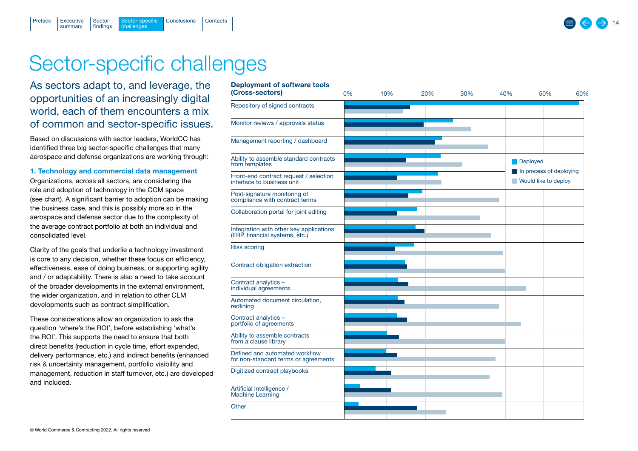## Sector-specific challenges

Sector-specific [Conclusions](#page-15-0) [Contacts](#page-16-0)<br>challenges

## As sectors adapt to, and leverage, the opportunities of an increasingly digital world, each of them encounters a mix of common and sector-specific issues.

**Executive** summary

<span id="page-13-0"></span>[Preface](#page-1-0)

Sector [findings](#page-3-0)

Based on discussions with sector leaders, WorldCC has identified three big sector-specific challenges that many aerospace and defense organizations are working through:

#### 1. Technology and commercial data management

Organizations, across all sectors, are considering the role and adoption of technology in the CCM space (see chart). A significant barrier to adoption can be making the business case, and this is possibly more so in the aerospace and defense sector due to the complexity of the average contract portfolio at both an individual and consolidated level.

Clarity of the goals that underlie a technology investment is core to any decision, whether these focus on efficiency, effectiveness, ease of doing business, or supporting agility and / or adaptability. There is also a need to take account of the broader developments in the external environment, the wider organization, and in relation to other CLM developments such as contract simplification.

These considerations allow an organization to ask the question 'where's the ROI', before establishing 'what's the ROI'. This supports the need to ensure that both direct benefits (reduction in cycle time, effort expended, delivery performance, etc.) and indirect benefits (enhanced risk & uncertainty management, portfolio visibility and management, reduction in staff turnover, etc.) are developed and included.

| Deployment of software tools<br>(Cross-sectors)                           | 0% | 10% | 20% | 30% | 40% | 50%                                                         | 60% |  |
|---------------------------------------------------------------------------|----|-----|-----|-----|-----|-------------------------------------------------------------|-----|--|
| Repository of signed contracts                                            |    |     |     |     |     |                                                             |     |  |
| Monitor reviews / approvals status                                        |    |     |     |     |     |                                                             |     |  |
| Management reporting / dashboard                                          |    |     |     |     |     |                                                             |     |  |
| Ability to assemble standard contracts<br>from templates                  |    |     |     |     | ×.  | Deployed<br>In process of deploying<br>Would like to deploy |     |  |
| Front-end contract request / selection<br>interface to business unit      |    |     |     |     |     |                                                             |     |  |
| Post-signature monitoring of<br>compliance with contract terms            |    |     |     |     |     |                                                             |     |  |
| Collaboration portal for joint editing                                    |    |     |     |     |     |                                                             |     |  |
| Integration with other key applications<br>(ERP, financial systems, etc.) |    |     |     |     |     |                                                             |     |  |
| <b>Risk scoring</b>                                                       |    |     |     |     |     |                                                             |     |  |
| Contract obligation extraction                                            |    |     |     |     |     |                                                             |     |  |
| Contract analytics -<br>individual agreements                             |    |     |     |     |     |                                                             |     |  |
| Automated document circulation,<br>redlining                              |    |     |     |     |     |                                                             |     |  |
| Contract analytics -<br>portfolio of agreements                           |    |     |     |     |     |                                                             |     |  |
| Ability to assemble contracts<br>from a clause library                    |    |     |     |     |     |                                                             |     |  |
| Defined and automated workflow<br>for non-standard terms or agreements    |    |     |     |     |     |                                                             |     |  |
| Digitized contract playbooks                                              |    |     |     |     |     |                                                             |     |  |
| Artificial Intelligence /<br><b>Machine Learning</b>                      |    |     |     |     |     |                                                             |     |  |
| Other                                                                     |    |     |     |     |     |                                                             |     |  |

#### Deployment of software tools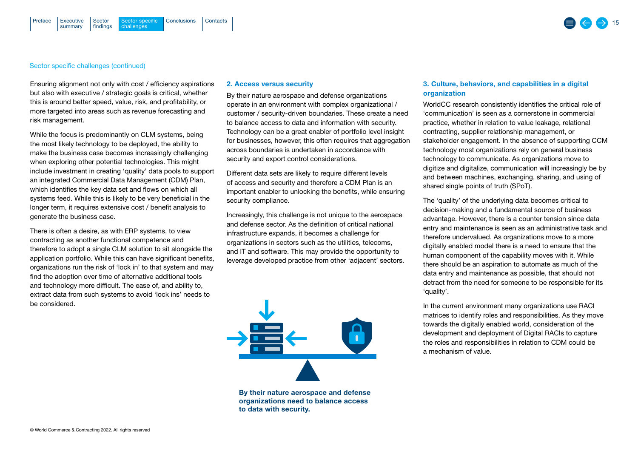#### Sector specific challenges (continued)

Ensuring alignment not only with cost / efficiency aspirations but also with executive / strategic goals is critical, whether this is around better speed, value, risk, and profitability, or more targeted into areas such as revenue forecasting and risk management.

While the focus is predominantly on CLM systems, being the most likely technology to be deployed, the ability to make the business case becomes increasingly challenging when exploring other potential technologies. This might include investment in creating 'quality' data pools to support an integrated Commercial Data Management (CDM) Plan, which identifies the key data set and flows on which all systems feed. While this is likely to be very beneficial in the longer term, it requires extensive cost / benefit analysis to generate the business case.

There is often a desire, as with ERP systems, to view contracting as another functional competence and therefore to adopt a single CLM solution to sit alongside the application portfolio. While this can have significant benefits, organizations run the risk of 'lock in' to that system and may find the adoption over time of alternative additional tools and technology more difficult. The ease of, and ability to, extract data from such systems to avoid 'lock ins' needs to be considered.

#### 2. Access versus security

By their nature aerospace and defense organizations operate in an environment with complex organizational / customer / security-driven boundaries. These create a need to balance access to data and information with security. Technology can be a great enabler of portfolio level insight for businesses, however, this often requires that aggregation across boundaries is undertaken in accordance with security and export control considerations.

Different data sets are likely to require different levels of access and security and therefore a CDM Plan is an important enabler to unlocking the benefits, while ensuring security compliance.

Increasingly, this challenge is not unique to the aerospace and defense sector. As the definition of critical national infrastructure expands, it becomes a challenge for organizations in sectors such as the utilities, telecoms, and IT and software. This may provide the opportunity to leverage developed practice from other 'adjacent' sectors.



By their nature aerospace and defense organizations need to balance access to data with security.

#### 3. Culture, behaviors, and capabilities in a digital organization

WorldCC research consistently identifies the critical role of 'communication' is seen as a cornerstone in commercial practice, whether in relation to value leakage, relational contracting, supplier relationship management, or stakeholder engagement. In the absence of supporting CCM technology most organizations rely on general business technology to communicate. As organizations move to digitize and digitalize, communication will increasingly be by and between machines, exchanging, sharing, and using of shared single points of truth (SPoT).

The 'quality' of the underlying data becomes critical to decision-making and a fundamental source of business advantage. However, there is a counter tension since data entry and maintenance is seen as an administrative task and therefore undervalued. As organizations move to a more digitally enabled model there is a need to ensure that the human component of the capability moves with it. While there should be an aspiration to automate as much of the data entry and maintenance as possible, that should not detract from the need for someone to be responsible for its 'quality'.

In the current environment many organizations use RACI matrices to identify roles and responsibilities. As they move towards the digitally enabled world, consideration of the development and deployment of Digital RACIs to capture the roles and responsibilities in relation to CDM could be a mechanism of value.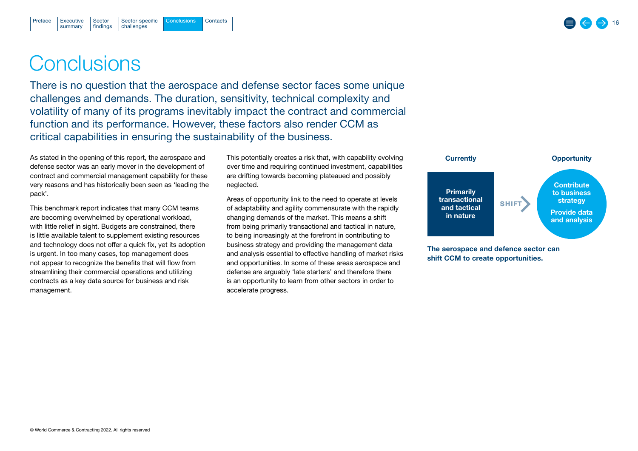## <span id="page-15-0"></span>**Conclusions**

There is no question that the aerospace and defense sector faces some unique challenges and demands. The duration, sensitivity, technical complexity and volatility of many of its programs inevitably impact the contract and commercial function and its performance. However, these factors also render CCM as critical capabilities in ensuring the sustainability of the business.

As stated in the opening of this report, the aerospace and defense sector was an early mover in the development of contract and commercial management capability for these very reasons and has historically been seen as 'leading the pack'.

This benchmark report indicates that many CCM teams are becoming overwhelmed by operational workload, with little relief in sight. Budgets are constrained, there is little available talent to supplement existing resources and technology does not offer a quick fix, yet its adoption is urgent. In too many cases, top management does not appear to recognize the benefits that will flow from streamlining their commercial operations and utilizing contracts as a key data source for business and risk management.

This potentially creates a risk that, with capability evolving over time and requiring continued investment, capabilities are drifting towards becoming plateaued and possibly neglected.

Areas of opportunity link to the need to operate at levels of adaptability and agility commensurate with the rapidly changing demands of the market. This means a shift from being primarily transactional and tactical in nature, to being increasingly at the forefront in contributing to business strategy and providing the management data and analysis essential to effective handling of market risks and opportunities. In some of these areas aerospace and defense are arguably 'late starters' and therefore there is an opportunity to learn from other sectors in order to accelerate progress.



16

The aerospace and defence sector can shift CCM to create opportunities.